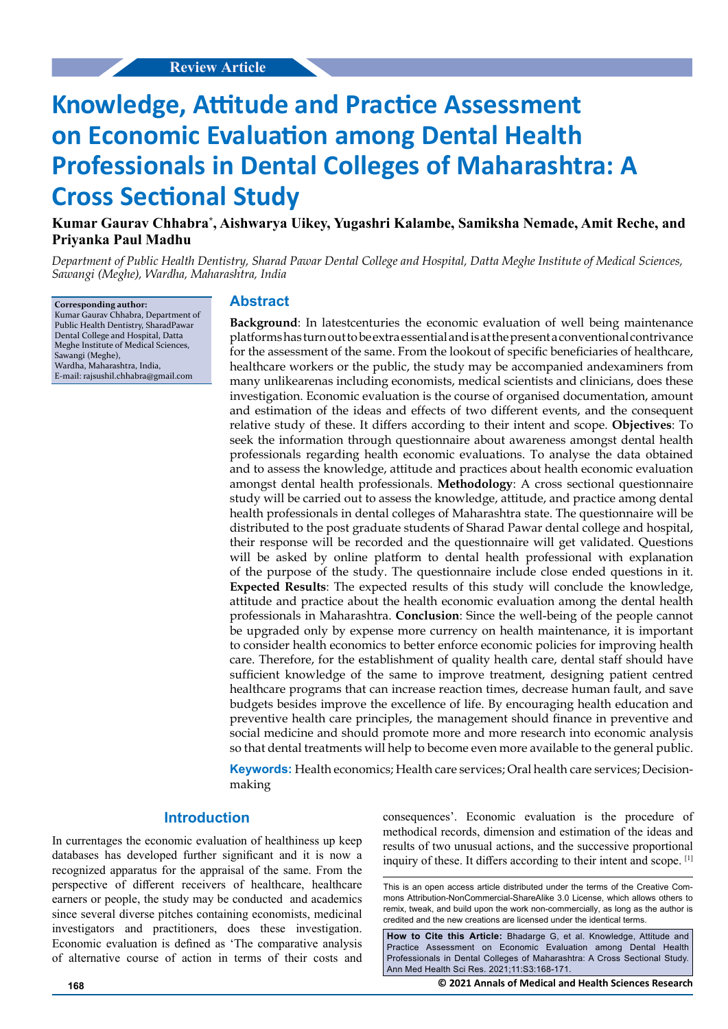# **Knowledge, Attitude and Practice Assessment on Economic Evaluation among Dental Health Professionals in Dental Colleges of Maharashtra: A Cross Sectional Study**

**Kumar Gaurav Chhabra\* , Aishwarya Uikey, Yugashri Kalambe, Samiksha Nemade, Amit Reche, and Priyanka Paul Madhu**

*Department of Public Health Dentistry, Sharad Pawar Dental College and Hospital, Datta Meghe Institute of Medical Sciences, Sawangi (Meghe), Wardha, Maharashtra, India* 

**Corresponding author:** Kumar Gaurav Chhabra, Department of Public Health Dentistry, SharadPawar Dental College and Hospital, Datta Meghe Institute of Medical Sciences, Sawangi (Meghe), Wardha, Maharashtra, India, E-mail: [rajsushil.chhabra@gmail.com](mailto:rajsushil.chhabra@gmail.com)

#### **Abstract**

**Background**: In latestcenturies the economic evaluation of well being maintenance platforms has turn out to be extra essential and is at the present a conventional contrivance for the assessment of the same. From the lookout of specific beneficiaries of healthcare, healthcare workers or the public, the study may be accompanied andexaminers from many unlikearenas including economists, medical scientists and clinicians, does these investigation. Economic evaluation is the course of organised documentation, amount and estimation of the ideas and effects of two different events, and the consequent relative study of these. It differs according to their intent and scope. **Objectives**: To seek the information through questionnaire about awareness amongst dental health professionals regarding health economic evaluations. To analyse the data obtained and to assess the knowledge, attitude and practices about health economic evaluation amongst dental health professionals. **Methodology**: A cross sectional questionnaire study will be carried out to assess the knowledge, attitude, and practice among dental health professionals in dental colleges of Maharashtra state. The questionnaire will be distributed to the post graduate students of Sharad Pawar dental college and hospital, their response will be recorded and the questionnaire will get validated. Questions will be asked by online platform to dental health professional with explanation of the purpose of the study. The questionnaire include close ended questions in it. **Expected Results**: The expected results of this study will conclude the knowledge, attitude and practice about the health economic evaluation among the dental health professionals in Maharashtra. **Conclusion**: Since the well-being of the people cannot be upgraded only by expense more currency on health maintenance, it is important to consider health economics to better enforce economic policies for improving health care. Therefore, for the establishment of quality health care, dental staff should have sufficient knowledge of the same to improve treatment, designing patient centred healthcare programs that can increase reaction times, decrease human fault, and save budgets besides improve the excellence of life. By encouraging health education and preventive health care principles, the management should finance in preventive and social medicine and should promote more and more research into economic analysis so that dental treatments will help to become even more available to the general public.

**Keywords:** Health economics; Health care services; Oral health care services; Decisionmaking

### **Introduction**

In currentages the economic evaluation of healthiness up keep databases has developed further significant and it is now a recognized apparatus for the appraisal of the same. From the perspective of different receivers of healthcare, healthcare earners or people, the study may be conducted and academics since several diverse pitches containing economists, medicinal investigators and practitioners, does these investigation. Economic evaluation is defined as 'The comparative analysis of alternative course of action in terms of their costs and consequences'. Economic evaluation is the procedure of methodical records, dimension and estimation of the ideas and results of two unusual actions, and the successive proportional inquiry of these. It differs according to their intent and scope. [1]

This is an open access article distributed under the terms of the Creative Commons Attribution‑NonCommercial‑ShareAlike 3.0 License, which allows others to remix, tweak, and build upon the work non‑commercially, as long as the author is credited and the new creations are licensed under the identical terms.

**How to Cite this Article:** Bhadarge G, et al. Knowledge, Attitude and Practice Assessment on Economic Evaluation among Dental Health Professionals in Dental Colleges of Maharashtra: A Cross Sectional Study. Ann Med Health Sci Res. 2021;11:S3:168-171.

**168 © 2021 Annals of Medical and Health Sciences Research**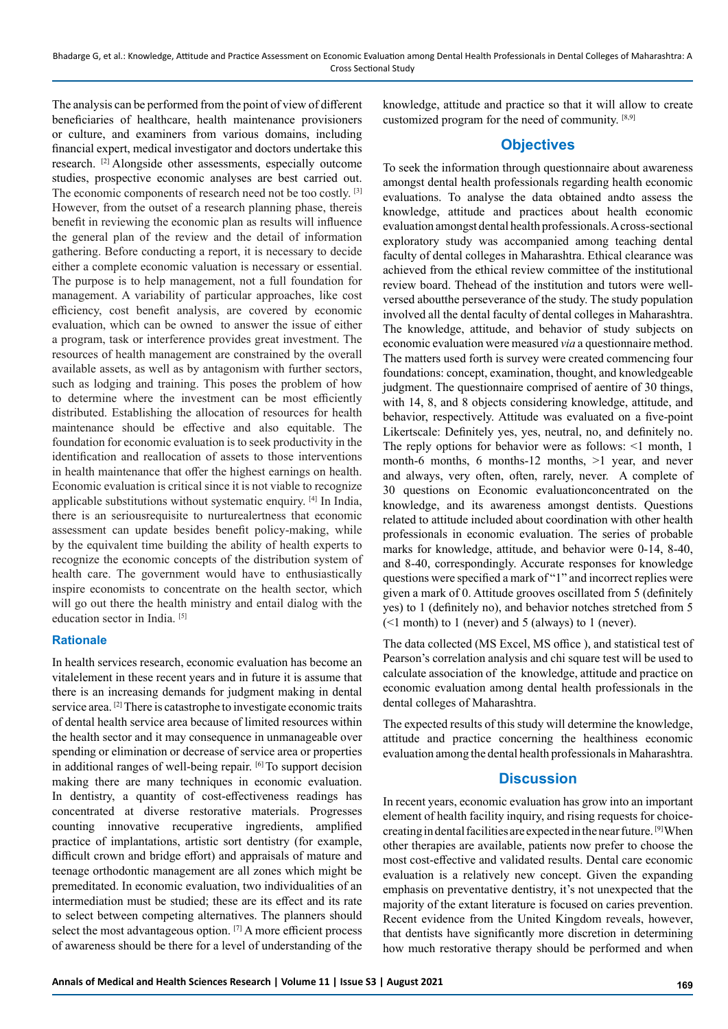The analysis can be performed from the point of view of different beneficiaries of healthcare, health maintenance provisioners or culture, and examiners from various domains, including financial expert, medical investigator and doctors undertake this research. [2] Alongside other assessments, especially outcome studies, prospective economic analyses are best carried out. The economic components of research need not be too costly.<sup>[3]</sup> However, from the outset of a research planning phase, thereis benefit in reviewing the economic plan as results will influence the general plan of the review and the detail of information gathering. Before conducting a report, it is necessary to decide either a complete economic valuation is necessary or essential. The purpose is to help management, not a full foundation for management. A variability of particular approaches, like cost efficiency, cost benefit analysis, are covered by economic evaluation, which can be owned to answer the issue of either a program, task or interference provides great investment. The resources of health management are constrained by the overall available assets, as well as by antagonism with further sectors, such as lodging and training. This poses the problem of how to determine where the investment can be most efficiently distributed. Establishing the allocation of resources for health maintenance should be effective and also equitable. The foundation for economic evaluation is to seek productivity in the identification and reallocation of assets to those interventions in health maintenance that offer the highest earnings on health. Economic evaluation is critical since it is not viable to recognize applicable substitutions without systematic enquiry. [4] In India, there is an seriousrequisite to nurturealertness that economic assessment can update besides benefit policy-making, while by the equivalent time building the ability of health experts to recognize the economic concepts of the distribution system of health care. The government would have to enthusiastically inspire economists to concentrate on the health sector, which will go out there the health ministry and entail dialog with the education sector in India. [5]

#### **Rationale**

In health services research, economic evaluation has become an vitalelement in these recent years and in future it is assume that there is an increasing demands for judgment making in dental service area. [2] There is catastrophe to investigate economic traits of dental health service area because of limited resources within the health sector and it may consequence in unmanageable over spending or elimination or decrease of service area or properties in additional ranges of well-being repair. [6] To support decision making there are many techniques in economic evaluation. In dentistry, a quantity of cost-effectiveness readings has concentrated at diverse restorative materials. Progresses counting innovative recuperative ingredients, amplified practice of implantations, artistic sort dentistry (for example, difficult crown and bridge effort) and appraisals of mature and teenage orthodontic management are all zones which might be premeditated. In economic evaluation, two individualities of an intermediation must be studied; these are its effect and its rate to select between competing alternatives. The planners should select the most advantageous option. [7] A more efficient process of awareness should be there for a level of understanding of the knowledge, attitude and practice so that it will allow to create customized program for the need of community. [8,9]

#### **Objectives**

To seek the information through questionnaire about awareness amongst dental health professionals regarding health economic evaluations. To analyse the data obtained andto assess the knowledge, attitude and practices about health economic evaluation amongst dental health professionals. A cross-sectional exploratory study was accompanied among teaching dental faculty of dental colleges in Maharashtra. Ethical clearance was achieved from the ethical review committee of the institutional review board. Thehead of the institution and tutors were wellversed aboutthe perseverance of the study. The study population involved all the dental faculty of dental colleges in Maharashtra. The knowledge, attitude, and behavior of study subjects on economic evaluation were measured *via* a questionnaire method. The matters used forth is survey were created commencing four foundations: concept, examination, thought, and knowledgeable judgment. The questionnaire comprised of aentire of 30 things, with 14, 8, and 8 objects considering knowledge, attitude, and behavior, respectively. Attitude was evaluated on a five-point Likertscale: Definitely yes, yes, neutral, no, and definitely no. The reply options for behavior were as follows: <1 month, 1 month-6 months, 6 months-12 months, >1 year, and never and always, very often, often, rarely, never. A complete of 30 questions on Economic evaluationconcentrated on the knowledge, and its awareness amongst dentists. Questions related to attitude included about coordination with other health professionals in economic evaluation. The series of probable marks for knowledge, attitude, and behavior were 0-14, 8-40, and 8-40, correspondingly. Accurate responses for knowledge questions were specified a mark of "1" and incorrect replies were given a mark of 0. Attitude grooves oscillated from 5 (definitely yes) to 1 (definitely no), and behavior notches stretched from 5 (<1 month) to 1 (never) and 5 (always) to 1 (never).

The data collected (MS Excel, MS office ), and statistical test of Pearson's correlation analysis and chi square test will be used to calculate association of the knowledge, attitude and practice on economic evaluation among dental health professionals in the dental colleges of Maharashtra.

The expected results of this study will determine the knowledge, attitude and practice concerning the healthiness economic evaluation among the dental health professionals in Maharashtra.

### **Discussion**

In recent years, economic evaluation has grow into an important element of health facility inquiry, and rising requests for choicecreating in dental facilities are expected in the near future. [9] When other therapies are available, patients now prefer to choose the most cost-effective and validated results. Dental care economic evaluation is a relatively new concept. Given the expanding emphasis on preventative dentistry, it's not unexpected that the majority of the extant literature is focused on caries prevention. Recent evidence from the United Kingdom reveals, however, that dentists have significantly more discretion in determining how much restorative therapy should be performed and when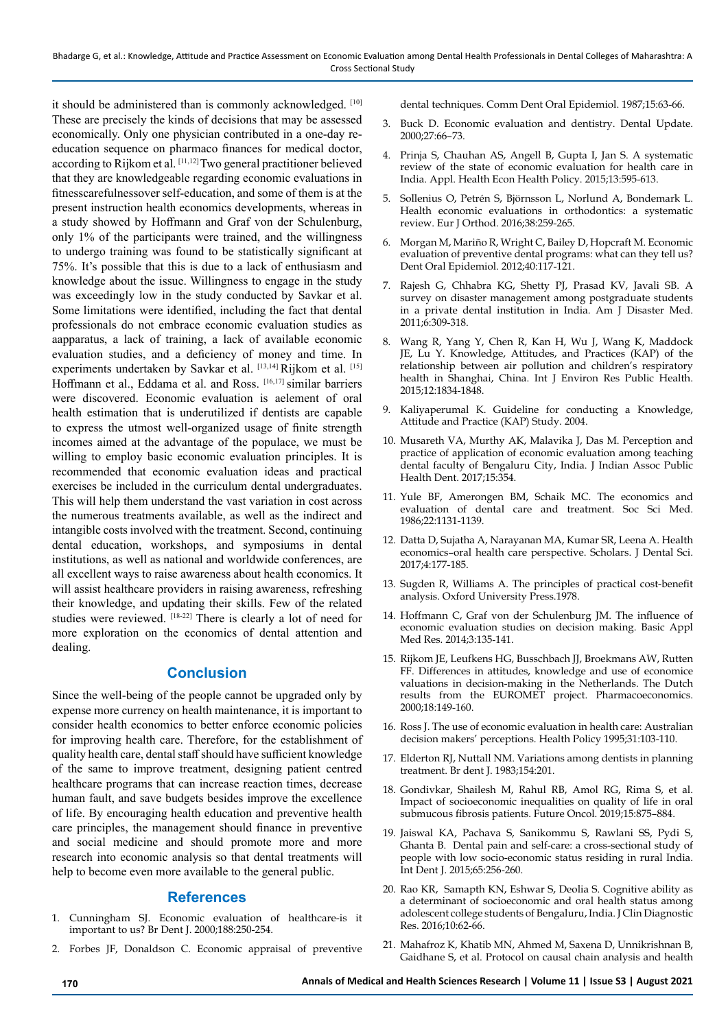it should be administered than is commonly acknowledged. [10] These are precisely the kinds of decisions that may be assessed economically. Only one physician contributed in a one-day reeducation sequence on pharmaco finances for medical doctor, according to Rijkom et al. [11,12] Two general practitioner believed that they are knowledgeable regarding economic evaluations in fitnesscarefulnessover self-education, and some of them is at the present instruction health economics developments, whereas in a study showed by Hoffmann and Graf von der Schulenburg, only 1% of the participants were trained, and the willingness to undergo training was found to be statistically significant at 75%. It's possible that this is due to a lack of enthusiasm and knowledge about the issue. Willingness to engage in the study was exceedingly low in the study conducted by Savkar et al. Some limitations were identified, including the fact that dental professionals do not embrace economic evaluation studies as aapparatus, a lack of training, a lack of available economic evaluation studies, and a deficiency of money and time. In experiments undertaken by Savkar et al. [13,14] Rijkom et al. [15] Hoffmann et al., Eddama et al. and Ross. [16,17] similar barriers were discovered. Economic evaluation is aelement of oral health estimation that is underutilized if dentists are capable to express the utmost well-organized usage of finite strength incomes aimed at the advantage of the populace, we must be willing to employ basic economic evaluation principles. It is recommended that economic evaluation ideas and practical exercises be included in the curriculum dental undergraduates. This will help them understand the vast variation in cost across the numerous treatments available, as well as the indirect and intangible costs involved with the treatment. Second, continuing dental education, workshops, and symposiums in dental institutions, as well as national and worldwide conferences, are all excellent ways to raise awareness about health economics. It will assist healthcare providers in raising awareness, refreshing their knowledge, and updating their skills. Few of the related studies were reviewed. [18-22] There is clearly a lot of need for more exploration on the economics of dental attention and dealing.

### **Conclusion**

Since the well-being of the people cannot be upgraded only by expense more currency on health maintenance, it is important to consider health economics to better enforce economic policies for improving health care. Therefore, for the establishment of quality health care, dental staff should have sufficient knowledge of the same to improve treatment, designing patient centred healthcare programs that can increase reaction times, decrease human fault, and save budgets besides improve the excellence of life. By encouraging health education and preventive health care principles, the management should finance in preventive and social medicine and should promote more and more research into economic analysis so that dental treatments will help to become even more available to the general public.

## **References**

- 1. Cunningham SJ. Economic evaluation of healthcare-is it important to us? Br Dent J. 2000;188:250-254.
- 2. Forbes JF, Donaldson C. Economic appraisal of preventive

dental techniques. Comm Dent Oral Epidemiol. 1987;15:63-66.

- 3. Buck D. Economic evaluation and dentistry. Dental Update. 2000;27:66–73.
- 4. Prinja S, Chauhan AS, Angell B, Gupta I, Jan S. A systematic review of the state of economic evaluation for health care in India. Appl. Health Econ Health Policy. 2015;13:595-613.
- 5. Sollenius O, Petrén S, Björnsson L, Norlund A, Bondemark L. Health economic evaluations in orthodontics: a systematic review. Eur J Orthod. 2016;38:259-265.
- 6. Morgan M, Mariño R, Wright C, Bailey D, Hopcraft M. Economic evaluation of preventive dental programs: what can they tell us? Dent Oral Epidemiol. 2012;40:117-121.
- 7. Rajesh G, Chhabra KG, Shetty PJ, Prasad KV, Javali SB. A survey on disaster management among postgraduate students in a private dental institution in India. Am J Disaster Med. 2011;6:309-318.
- 8. Wang R, Yang Y, Chen R, Kan H, Wu J, Wang K, Maddock JE, Lu Y. Knowledge, Attitudes, and Practices (KAP) of the relationship between air pollution and children's respiratory health in Shanghai, China. Int J Environ Res Public Health. 2015;12:1834-1848.
- 9. Kaliyaperumal K. Guideline for conducting a Knowledge, Attitude and Practice (KAP) Study. 2004.
- 10. Musareth VA, Murthy AK, Malavika J, Das M. Perception and practice of application of economic evaluation among teaching dental faculty of Bengaluru City, India. J Indian Assoc Public Health Dent. 2017;15:354.
- 11. Yule BF, Amerongen BM, Schaik MC. The economics and evaluation of dental care and treatment. Soc Sci Med. 1986;22:1131-1139.
- 12. Datta D, Sujatha A, Narayanan MA, Kumar SR, Leena A. Health economics–oral health care perspective. Scholars. J Dental Sci. 2017;4:177-185.
- 13. Sugden R, Williams A. The principles of practical cost-benefit analysis. Oxford University Press.1978.
- 14. Hoffmann C, Graf von der Schulenburg JM. The influence of economic evaluation studies on decision making. Basic Appl Med Res. 2014;3:135-141.
- 15. Rijkom JE, Leufkens HG, Busschbach JJ, Broekmans AW, Rutten FF. Differences in attitudes, knowledge and use of economice valuations in decision-making in the Netherlands. The Dutch results from the EUROMET project. Pharmacoeconomics. 2000;18:149-160.
- 16. Ross J. The use of economic evaluation in health care: Australian decision makers' perceptions. Health Policy 1995;31:103-110.
- 17. Elderton RJ, Nuttall NM. Variations among dentists in planning treatment. Br dent J. 1983;154:201.
- 18. Gondivkar, Shailesh M, Rahul RB, Amol RG, Rima S, et al. Impact of socioeconomic inequalities on quality of life in oral submucous fibrosis patients. Future Oncol. 2019;15:875–884.
- 19. Jaiswal KA, Pachava S, Sanikommu S, Rawlani SS, Pydi S, Ghanta B. Dental pain and self-care: a cross-sectional study of people with low socio-economic status residing in rural India. Int Dent J. 2015;65:256-260.
- 20. Rao KR, Samapth KN, Eshwar S, Deolia S. Cognitive ability as a determinant of socioeconomic and oral health status among adolescent college students of Bengaluru, India. J Clin Diagnostic Res. 2016;10:62-66.
- 21. Mahafroz K, Khatib MN, Ahmed M, Saxena D, Unnikrishnan B, Gaidhane S, et al. Protocol on causal chain analysis and health